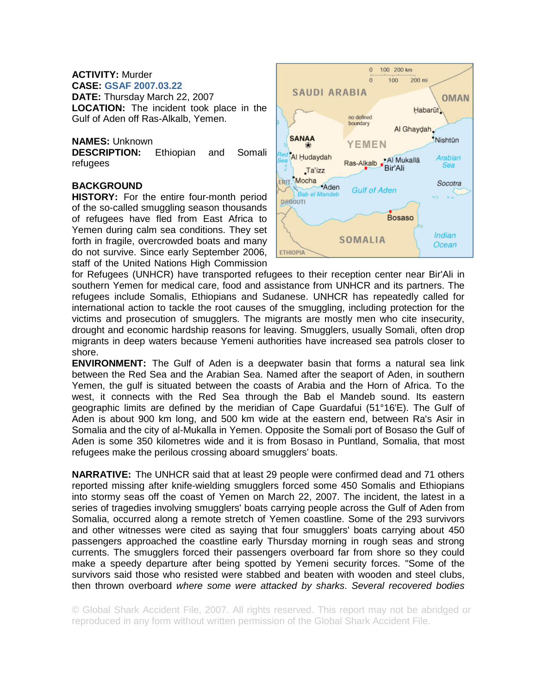#### **ACTIVITY:** Murder **CASE: GSAF 2007.03.22**

**DATE:** Thursday March 22, 2007 **LOCATION:** The incident took place in the Gulf of Aden off Ras-Alkalb, Yemen.

# **NAMES:** Unknown

**DESCRIPTION:** Ethiopian and Somali refugees

# **BACKGROUND**

**HISTORY:** For the entire four-month period of the so-called smuggling season thousands of refugees have fled from East Africa to Yemen during calm sea conditions. They set forth in fragile, overcrowded boats and many do not survive. Since early September 2006, staff of the United Nations High Commission



for Refugees (UNHCR) have transported refugees to their reception center near Bir'Ali in southern Yemen for medical care, food and assistance from UNHCR and its partners. The refugees include Somalis, Ethiopians and Sudanese. UNHCR has repeatedly called for international action to tackle the root causes of the smuggling, including protection for the victims and prosecution of smugglers. The migrants are mostly men who cite insecurity, drought and economic hardship reasons for leaving. Smugglers, usually Somali, often drop migrants in deep waters because Yemeni authorities have increased sea patrols closer to shore.

**ENVIRONMENT:** The Gulf of Aden is a deepwater basin that forms a natural sea link between the Red Sea and the Arabian Sea. Named after the seaport of Aden, in southern Yemen, the gulf is situated between the coasts of Arabia and the Horn of Africa. To the west, it connects with the Red Sea through the Bab el Mandeb sound. Its eastern geographic limits are defined by the meridian of Cape Guardafui (51°16'E). The Gulf of Aden is about 900 km long, and 500 km wide at the eastern end, between Ra's Asir in Somalia and the city of al-Mukalla in Yemen. Opposite the Somali port of Bosaso the Gulf of Aden is some 350 kilometres wide and it is from Bosaso in Puntland, Somalia, that most refugees make the perilous crossing aboard smugglers' boats.

**NARRATIVE:** The UNHCR said that at least 29 people were confirmed dead and 71 others reported missing after knife-wielding smugglers forced some 450 Somalis and Ethiopians into stormy seas off the coast of Yemen on March 22, 2007. The incident, the latest in a series of tragedies involving smugglers' boats carrying people across the Gulf of Aden from Somalia, occurred along a remote stretch of Yemen coastline. Some of the 293 survivors and other witnesses were cited as saying that four smugglers' boats carrying about 450 passengers approached the coastline early Thursday morning in rough seas and strong currents. The smugglers forced their passengers overboard far from shore so they could make a speedy departure after being spotted by Yemeni security forces. "Some of the survivors said those who resisted were stabbed and beaten with wooden and steel clubs, then thrown overboard *where some were attacked by sharks*. *Several recovered bodies* 

© Global Shark Accident File, 2007. All rights reserved. This report may not be abridged or reproduced in any form without written permission of the Global Shark Accident File.